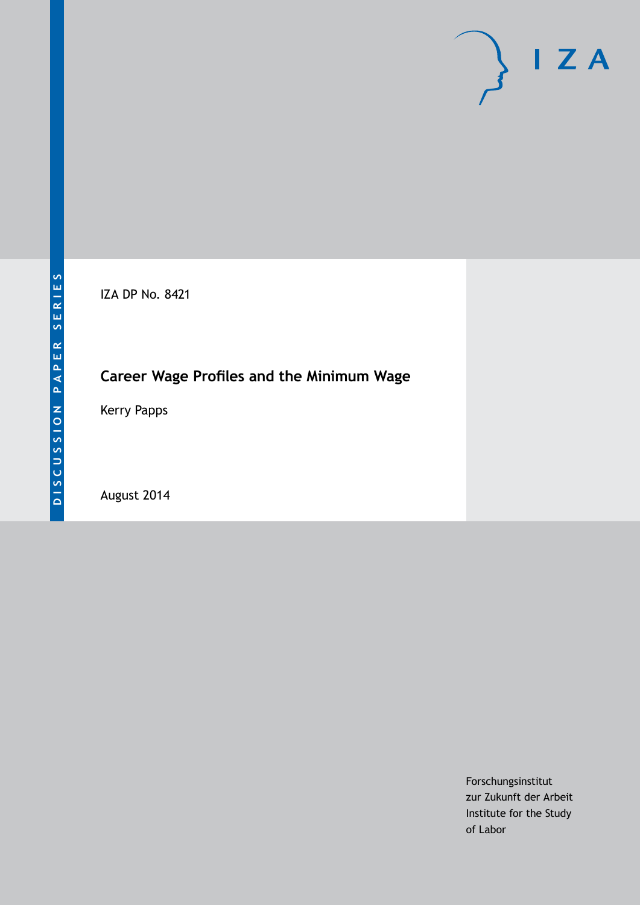# $\mathsf{I}$  Z A

IZA DP No. 8421

# **Career Wage Profiles and the Minimum Wage**

Kerry Papps

August 2014

Forschungsinstitut zur Zukunft der Arbeit Institute for the Study of Labor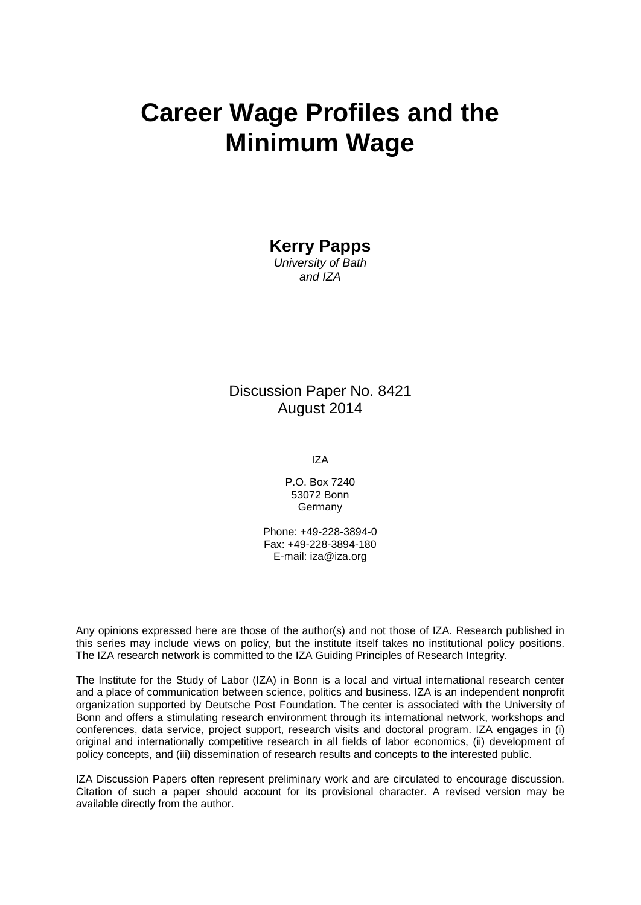# **Career Wage Profiles and the Minimum Wage**

**Kerry Papps**

*University of Bath and IZA*

### Discussion Paper No. 8421 August 2014

IZA

P.O. Box 7240 53072 Bonn Germany

Phone: +49-228-3894-0 Fax: +49-228-3894-180 E-mail: [iza@iza.org](mailto:iza@iza.org)

Any opinions expressed here are those of the author(s) and not those of IZA. Research published in this series may include views on policy, but the institute itself takes no institutional policy positions. The IZA research network is committed to the IZA Guiding Principles of Research Integrity.

The Institute for the Study of Labor (IZA) in Bonn is a local and virtual international research center and a place of communication between science, politics and business. IZA is an independent nonprofit organization supported by Deutsche Post Foundation. The center is associated with the University of Bonn and offers a stimulating research environment through its international network, workshops and conferences, data service, project support, research visits and doctoral program. IZA engages in (i) original and internationally competitive research in all fields of labor economics, (ii) development of policy concepts, and (iii) dissemination of research results and concepts to the interested public.

<span id="page-1-0"></span>IZA Discussion Papers often represent preliminary work and are circulated to encourage discussion. Citation of such a paper should account for its provisional character. A revised version may be available directly from the author.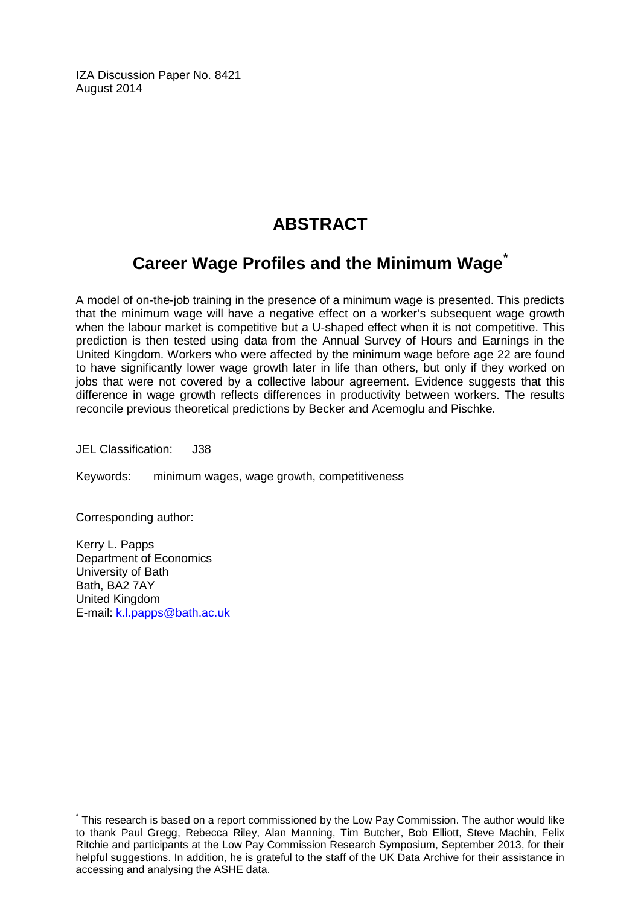IZA Discussion Paper No. 8421 August 2014

# **ABSTRACT**

# **Career Wage Profiles and the Minimum Wage[\\*](#page-1-0)**

A model of on-the-job training in the presence of a minimum wage is presented. This predicts that the minimum wage will have a negative effect on a worker's subsequent wage growth when the labour market is competitive but a U-shaped effect when it is not competitive. This prediction is then tested using data from the Annual Survey of Hours and Earnings in the United Kingdom. Workers who were affected by the minimum wage before age 22 are found to have significantly lower wage growth later in life than others, but only if they worked on jobs that were not covered by a collective labour agreement. Evidence suggests that this difference in wage growth reflects differences in productivity between workers. The results reconcile previous theoretical predictions by Becker and Acemoglu and Pischke.

JEL Classification: J38

Keywords: minimum wages, wage growth, competitiveness

Corresponding author:

Kerry L. Papps Department of Economics University of Bath Bath, BA2 7AY United Kingdom E-mail: [k.l.papps@bath.ac.uk](mailto:k.l.papps@bath.ac.uk)

This research is based on a report commissioned by the Low Pay Commission. The author would like to thank Paul Gregg, Rebecca Riley, Alan Manning, Tim Butcher, Bob Elliott, Steve Machin, Felix Ritchie and participants at the Low Pay Commission Research Symposium, September 2013, for their helpful suggestions. In addition, he is grateful to the staff of the UK Data Archive for their assistance in accessing and analysing the ASHE data.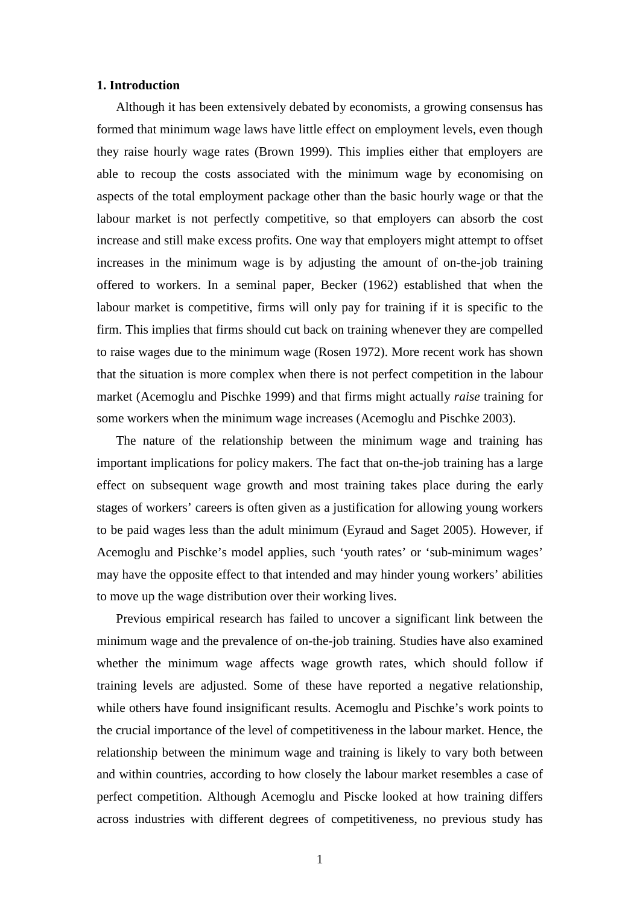#### **1. Introduction**

Although it has been extensively debated by economists, a growing consensus has formed that minimum wage laws have little effect on employment levels, even though they raise hourly wage rates (Brown 1999). This implies either that employers are able to recoup the costs associated with the minimum wage by economising on aspects of the total employment package other than the basic hourly wage or that the labour market is not perfectly competitive, so that employers can absorb the cost increase and still make excess profits. One way that employers might attempt to offset increases in the minimum wage is by adjusting the amount of on-the-job training offered to workers. In a seminal paper, Becker (1962) established that when the labour market is competitive, firms will only pay for training if it is specific to the firm. This implies that firms should cut back on training whenever they are compelled to raise wages due to the minimum wage (Rosen 1972). More recent work has shown that the situation is more complex when there is not perfect competition in the labour market (Acemoglu and Pischke 1999) and that firms might actually *raise* training for some workers when the minimum wage increases (Acemoglu and Pischke 2003).

The nature of the relationship between the minimum wage and training has important implications for policy makers. The fact that on-the-job training has a large effect on subsequent wage growth and most training takes place during the early stages of workers' careers is often given as a justification for allowing young workers to be paid wages less than the adult minimum (Eyraud and Saget 2005). However, if Acemoglu and Pischke's model applies, such 'youth rates' or 'sub-minimum wages' may have the opposite effect to that intended and may hinder young workers' abilities to move up the wage distribution over their working lives.

<span id="page-3-0"></span>Previous empirical research has failed to uncover a significant link between the minimum wage and the prevalence of on-the-job training. Studies have also examined whether the minimum wage affects wage growth rates, which should follow if training levels are adjusted. Some of these have reported a negative relationship, while others have found insignificant results. Acemoglu and Pischke's work points to the crucial importance of the level of competitiveness in the labour market. Hence, the relationship between the minimum wage and training is likely to vary both between and within countries, according to how closely the labour market resembles a case of perfect competition. Although Acemoglu and Piscke looked at how training differs across industries with different degrees of competitiveness, no previous study has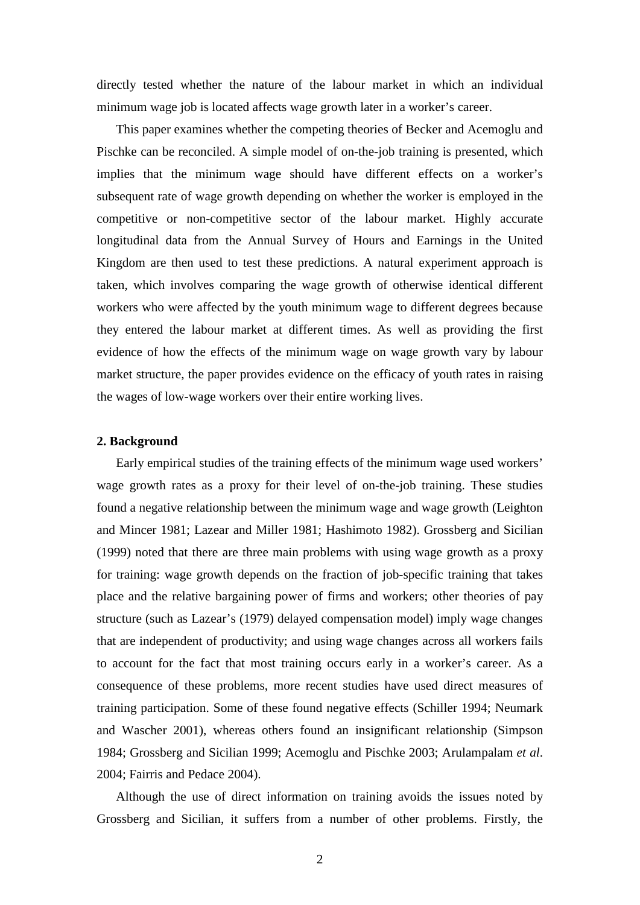directly tested whether the nature of the labour market in which an individual minimum wage job is located affects wage growth later in a worker's career.

This paper examines whether the competing theories of Becker and Acemoglu and Pischke can be reconciled. A simple model of on-the-job training is presented, which implies that the minimum wage should have different effects on a worker's subsequent rate of wage growth depending on whether the worker is employed in the competitive or non-competitive sector of the labour market. Highly accurate longitudinal data from the Annual Survey of Hours and Earnings in the United Kingdom are then used to test these predictions. A natural experiment approach is taken, which involves comparing the wage growth of otherwise identical different workers who were affected by the youth minimum wage to different degrees because they entered the labour market at different times. As well as providing the first evidence of how the effects of the minimum wage on wage growth vary by labour market structure, the paper provides evidence on the efficacy of youth rates in raising the wages of low-wage workers over their entire working lives.

#### **2. Background**

Early empirical studies of the training effects of the minimum wage used workers' wage growth rates as a proxy for their level of on-the-job training. These studies found a negative relationship between the minimum wage and wage growth (Leighton and Mincer 1981; Lazear and Miller 1981; Hashimoto 1982). Grossberg and Sicilian (1999) noted that there are three main problems with using wage growth as a proxy for training: wage growth depends on the fraction of job-specific training that takes place and the relative bargaining power of firms and workers; other theories of pay structure (such as Lazear's (1979) delayed compensation model) imply wage changes that are independent of productivity; and using wage changes across all workers fails to account for the fact that most training occurs early in a worker's career. As a consequence of these problems, more recent studies have used direct measures of training participation. Some of these found negative effects (Schiller 1994; Neumark and Wascher 2001), whereas others found an insignificant relationship (Simpson 1984; Grossberg and Sicilian 1999; Acemoglu and Pischke 2003; Arulampalam *et al*. 2004; Fairris and Pedace 2004).

Although the use of direct information on training avoids the issues noted by Grossberg and Sicilian, it suffers from a number of other problems. Firstly, the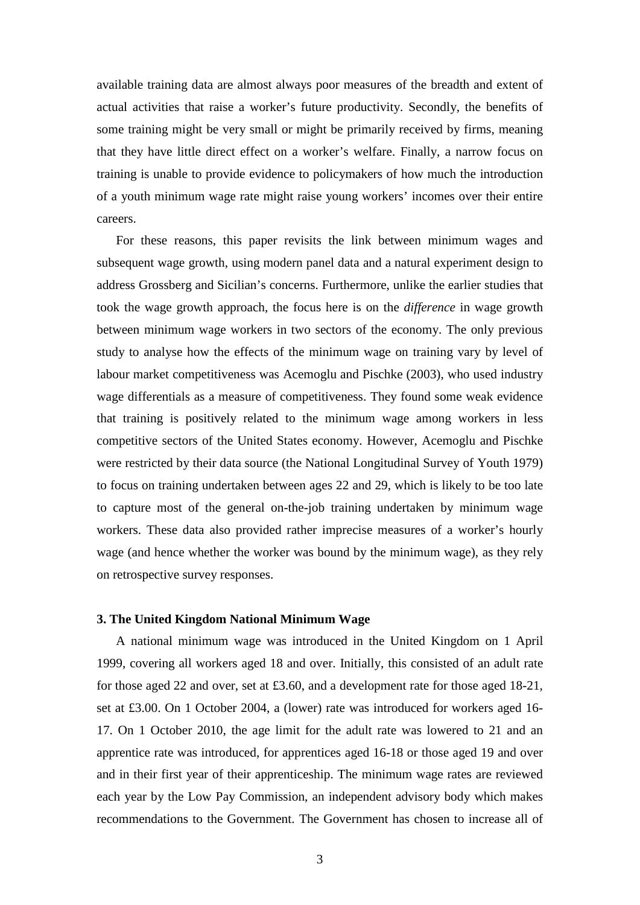available training data are almost always poor measures of the breadth and extent of actual activities that raise a worker's future productivity. Secondly, the benefits of some training might be very small or might be primarily received by firms, meaning that they have little direct effect on a worker's welfare. Finally, a narrow focus on training is unable to provide evidence to policymakers of how much the introduction of a youth minimum wage rate might raise young workers' incomes over their entire careers.

For these reasons, this paper revisits the link between minimum wages and subsequent wage growth, using modern panel data and a natural experiment design to address Grossberg and Sicilian's concerns. Furthermore, unlike the earlier studies that took the wage growth approach, the focus here is on the *difference* in wage growth between minimum wage workers in two sectors of the economy. The only previous study to analyse how the effects of the minimum wage on training vary by level of labour market competitiveness was Acemoglu and Pischke (2003), who used industry wage differentials as a measure of competitiveness. They found some weak evidence that training is positively related to the minimum wage among workers in less competitive sectors of the United States economy. However, Acemoglu and Pischke were restricted by their data source (the National Longitudinal Survey of Youth 1979) to focus on training undertaken between ages 22 and 29, which is likely to be too late to capture most of the general on-the-job training undertaken by minimum wage workers. These data also provided rather imprecise measures of a worker's hourly wage (and hence whether the worker was bound by the minimum wage), as they rely on retrospective survey responses.

#### **3. The United Kingdom National Minimum Wage**

A national minimum wage was introduced in the United Kingdom on 1 April 1999, covering all workers aged 18 and over. Initially, this consisted of an adult rate for those aged 22 and over, set at £3.60, and a development rate for those aged 18-21, set at £3.00. On 1 October 2004, a (lower) rate was introduced for workers aged 16- 17. On 1 October 2010, the age limit for the adult rate was lowered to 21 and an apprentice rate was introduced, for apprentices aged 16-18 or those aged 19 and over and in their first year of their apprenticeship. The minimum wage rates are reviewed each year by the Low Pay Commission, an independent advisory body which makes recommendations to the Government. The Government has chosen to increase all of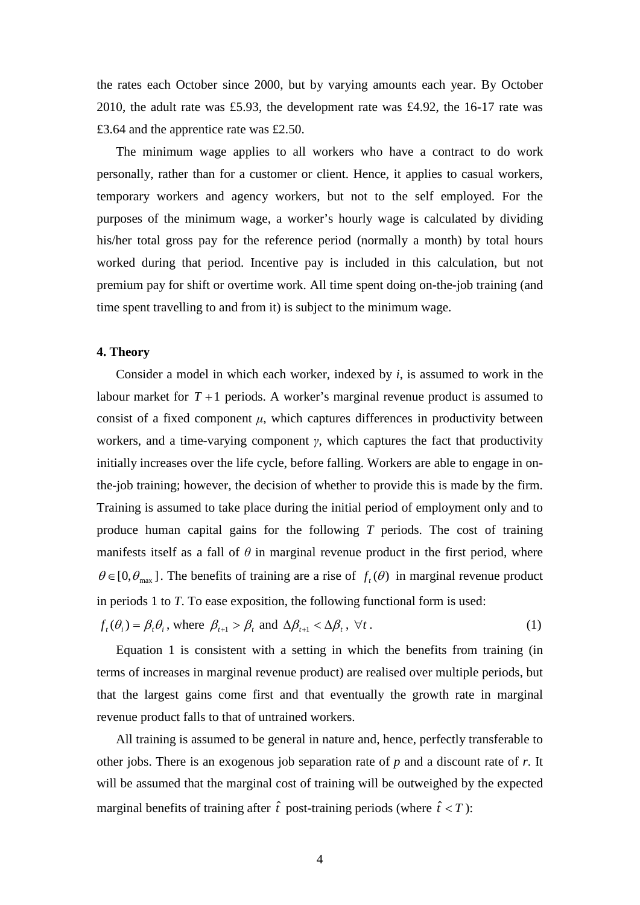the rates each October since 2000, but by varying amounts each year. By October 2010, the adult rate was £5.93, the development rate was £4.92, the 16-17 rate was £3.64 and the apprentice rate was £2.50.

The minimum wage applies to all workers who have a contract to do work personally, rather than for a customer or client. Hence, it applies to casual workers, temporary workers and agency workers, but not to the self employed. For the purposes of the minimum wage, a worker's hourly wage is calculated by dividing his/her total gross pay for the reference period (normally a month) by total hours worked during that period. Incentive pay is included in this calculation, but not premium pay for shift or overtime work. All time spent doing on-the-job training (and time spent travelling to and from it) is subject to the minimum wage.

#### **4. Theory**

Consider a model in which each worker, indexed by *i*, is assumed to work in the labour market for  $T+1$  periods. A worker's marginal revenue product is assumed to consist of a fixed component  $\mu$ , which captures differences in productivity between workers, and a time-varying component *γ*, which captures the fact that productivity initially increases over the life cycle, before falling. Workers are able to engage in onthe-job training; however, the decision of whether to provide this is made by the firm. Training is assumed to take place during the initial period of employment only and to produce human capital gains for the following *T* periods. The cost of training manifests itself as a fall of  $\theta$  in marginal revenue product in the first period, where  $\theta \in [0, \theta_{\text{max}}]$ . The benefits of training are a rise of  $f_t(\theta)$  in marginal revenue product in periods 1 to *T*. To ease exposition, the following functional form is used:

$$
f_t(\theta_i) = \beta_t \theta_i, \text{ where } \beta_{t+1} > \beta_t \text{ and } \Delta \beta_{t+1} < \Delta \beta_t, \forall t.
$$
 (1)

Equation 1 is consistent with a setting in which the benefits from training (in terms of increases in marginal revenue product) are realised over multiple periods, but that the largest gains come first and that eventually the growth rate in marginal revenue product falls to that of untrained workers.

All training is assumed to be general in nature and, hence, perfectly transferable to other jobs. There is an exogenous job separation rate of *p* and a discount rate of *r*. It will be assumed that the marginal cost of training will be outweighed by the expected marginal benefits of training after  $\hat{t}$  post-training periods (where  $\hat{t} < T$ ):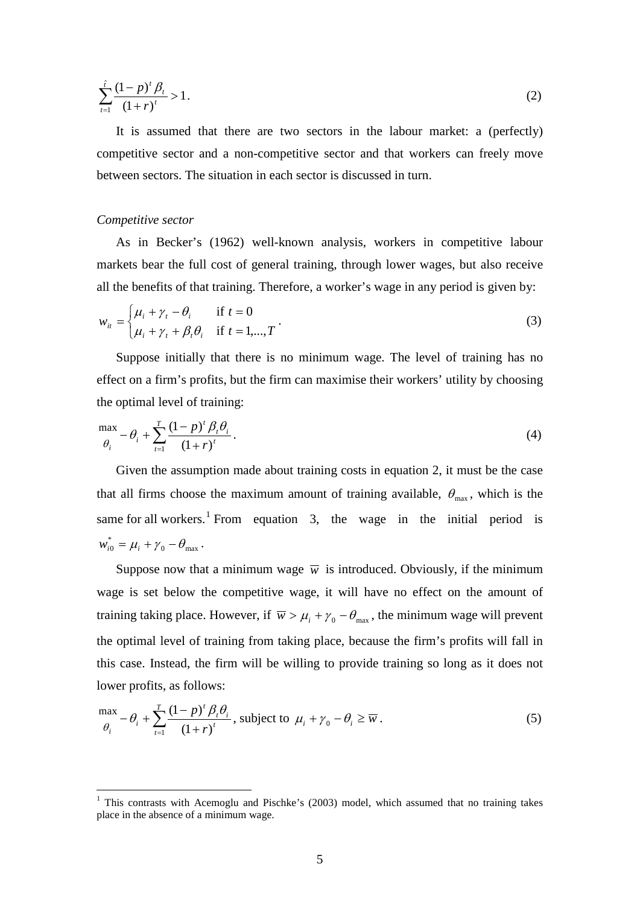$$
\sum_{t=1}^{\hat{t}} \frac{(1-p)^t \beta_t}{(1+r)^t} > 1.
$$
\n(2)

It is assumed that there are two sectors in the labour market: a (perfectly) competitive sector and a non-competitive sector and that workers can freely move between sectors. The situation in each sector is discussed in turn.

#### *Competitive sector*

As in Becker's (1962) well-known analysis, workers in competitive labour markets bear the full cost of general training, through lower wages, but also receive all the benefits of that training. Therefore, a worker's wage in any period is given by:

$$
w_{it} = \begin{cases} \mu_i + \gamma_t - \theta_i & \text{if } t = 0\\ \mu_i + \gamma_t + \beta_t \theta_i & \text{if } t = 1, ..., T \end{cases}
$$
 (3)

Suppose initially that there is no minimum wage. The level of training has no effect on a firm's profits, but the firm can maximise their workers' utility by choosing the optimal level of training:

$$
\frac{\max}{\theta_i} - \theta_i + \sum_{t=1}^T \frac{(1-p)^t \beta_t \theta_i}{(1+r)^t}.
$$
\n(4)

Given the assumption made about training costs in equation 2, it must be the case that all firms choose the maximum amount of training available,  $\theta_{\text{max}}$ , which is the same for all workers.<sup>[1](#page-3-0)</sup> From equation 3, the wage in the initial period is  $w_{i0}^* = \mu_i + \gamma_0 - \theta_{\text{max}}$ .

Suppose now that a minimum wage  $\overline{w}$  is introduced. Obviously, if the minimum wage is set below the competitive wage, it will have no effect on the amount of training taking place. However, if  $\overline{w} > \mu_i + \gamma_0 - \theta_{\text{max}}$ , the minimum wage will prevent the optimal level of training from taking place, because the firm's profits will fall in this case. Instead, the firm will be willing to provide training so long as it does not lower profits, as follows:

$$
\frac{\max}{\theta_i} - \theta_i + \sum_{t=1}^T \frac{(1-p)^t \beta_t \theta_i}{(1+r)^t}, \text{ subject to } \mu_i + \gamma_0 - \theta_i \ge \overline{w}.
$$
 (5)

<span id="page-7-0"></span><sup>&</sup>lt;sup>1</sup> This contrasts with Acemoglu and Pischke's (2003) model, which assumed that no training takes place in the absence of a minimum wage.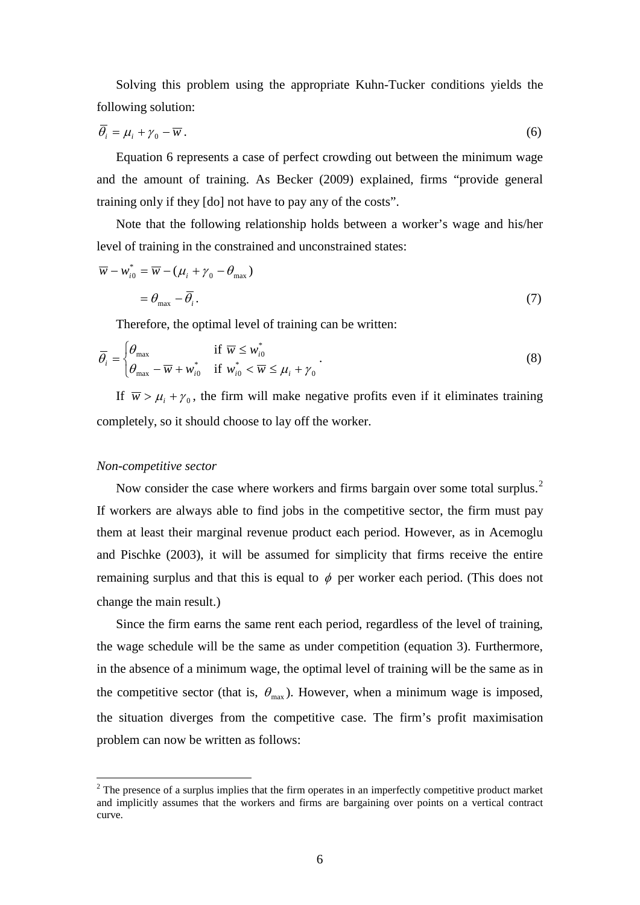Solving this problem using the appropriate Kuhn-Tucker conditions yields the following solution:

$$
\overline{\theta}_i = \mu_i + \gamma_0 - \overline{w} \,. \tag{6}
$$

Equation 6 represents a case of perfect crowding out between the minimum wage and the amount of training. As Becker (2009) explained, firms "provide general training only if they [do] not have to pay any of the costs".

Note that the following relationship holds between a worker's wage and his/her level of training in the constrained and unconstrained states:

$$
\overline{w} - w_{i0}^* = \overline{w} - (\mu_i + \gamma_0 - \theta_{\text{max}})
$$
  
=  $\theta_{\text{max}} - \overline{\theta}_i$ . (7)

Therefore, the optimal level of training can be written:

$$
\overline{\theta}_{i} = \begin{cases} \theta_{\text{max}} & \text{if } \overline{w} \le w_{i0}^{*} \\ \theta_{\text{max}} - \overline{w} + w_{i0}^{*} & \text{if } w_{i0}^{*} < \overline{w} \le \mu_{i} + \gamma_{0} \end{cases} \tag{8}
$$

If  $\overline{w} > \mu_i + \gamma_0$ , the firm will make negative profits even if it eliminates training completely, so it should choose to lay off the worker.

#### *Non-competitive sector*

Now consider the case where workers and firms bargain over some total surplus.<sup>[2](#page-7-0)</sup> If workers are always able to find jobs in the competitive sector, the firm must pay them at least their marginal revenue product each period. However, as in Acemoglu and Pischke (2003), it will be assumed for simplicity that firms receive the entire remaining surplus and that this is equal to  $\phi$  per worker each period. (This does not change the main result.)

Since the firm earns the same rent each period, regardless of the level of training, the wage schedule will be the same as under competition (equation 3). Furthermore, in the absence of a minimum wage, the optimal level of training will be the same as in the competitive sector (that is,  $\theta_{\text{max}}$ ). However, when a minimum wage is imposed, the situation diverges from the competitive case. The firm's profit maximisation problem can now be written as follows:

<span id="page-8-0"></span> $2$  The presence of a surplus implies that the firm operates in an imperfectly competitive product market and implicitly assumes that the workers and firms are bargaining over points on a vertical contract curve.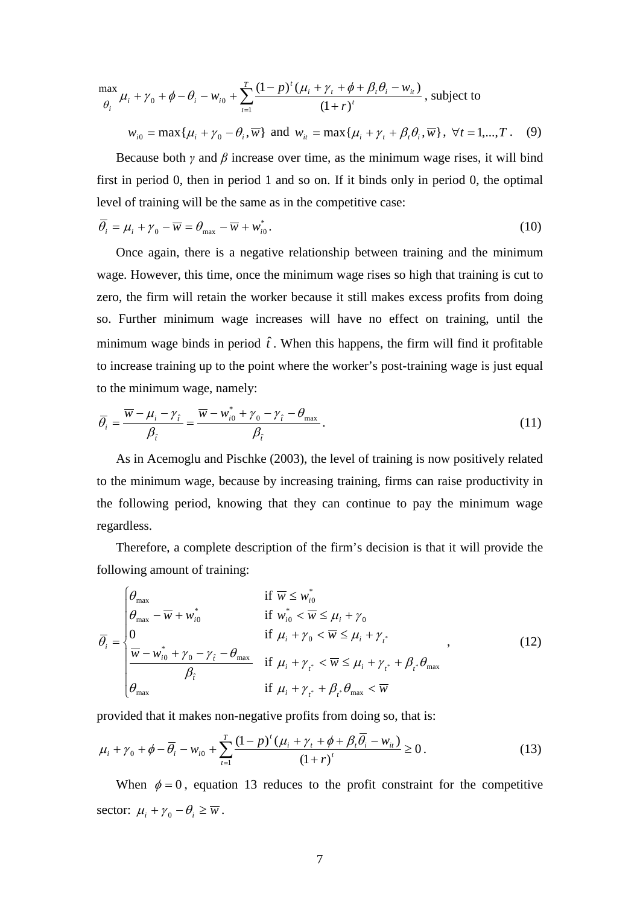$$
\frac{\max}{\theta_i} \mu_i + \gamma_0 + \phi - \theta_i - w_{i0} + \sum_{t=1}^T \frac{(1-p)^t (\mu_i + \gamma_t + \phi + \beta_t \theta_i - w_{it})}{(1+r)^t}, \text{ subject to}
$$

 $w_{i0} = \max{\{\mu_i + \gamma_0 - \theta_i, \overline{w}\}}$  and  $w_{it} = \max{\{\mu_i + \gamma_t + \beta_t \theta_i, \overline{w}\}}, \forall t = 1, ..., T$ . (9)

Because both  $\gamma$  and  $\beta$  increase over time, as the minimum wage rises, it will bind first in period 0, then in period 1 and so on. If it binds only in period 0, the optimal level of training will be the same as in the competitive case:

$$
\overline{\theta_i} = \mu_i + \gamma_0 - \overline{w} = \theta_{\text{max}} - \overline{w} + w_{i0}^*.
$$
\n(10)

Once again, there is a negative relationship between training and the minimum wage. However, this time, once the minimum wage rises so high that training is cut to zero, the firm will retain the worker because it still makes excess profits from doing so. Further minimum wage increases will have no effect on training, until the minimum wage binds in period  $\hat{t}$ . When this happens, the firm will find it profitable to increase training up to the point where the worker's post-training wage is just equal to the minimum wage, namely:

$$
\overline{\theta}_{i} = \frac{\overline{w} - \mu_{i} - \gamma_{\hat{r}}}{\beta_{\hat{r}}} = \frac{\overline{w} - w_{i0}^{*} + \gamma_{0} - \gamma_{\hat{r}} - \theta_{\text{max}}}{\beta_{\hat{r}}}.
$$
\n(11)

As in Acemoglu and Pischke (2003), the level of training is now positively related to the minimum wage, because by increasing training, firms can raise productivity in the following period, knowing that they can continue to pay the minimum wage regardless.

Therefore, a complete description of the firm's decision is that it will provide the following amount of training:

$$
\overline{\theta}_{i} = \begin{cases}\n\theta_{\text{max}} & \text{if } \overline{w} \leq w_{i0}^{*} \\
\theta_{\text{max}} - \overline{w} + w_{i0}^{*} & \text{if } w_{i0}^{*} < \overline{w} \leq \mu_{i} + \gamma_{0} \\
0 & \text{if } \mu_{i} + \gamma_{0} < \overline{w} \leq \mu_{i} + \gamma_{i}^{*} \\
\frac{\overline{w} - w_{i0}^{*} + \gamma_{0} - \gamma_{\hat{r}} - \theta_{\text{max}}}{\beta_{\hat{r}}} & \text{if } \mu_{i} + \gamma_{i} < \overline{w} \leq \mu_{i} + \gamma_{i}^{*} + \beta_{i} \cdot \theta_{\text{max}} \\
\theta_{\text{max}} & \text{if } \mu_{i} + \gamma_{i}^{*} + \beta_{i} \cdot \theta_{\text{max}} < \overline{w}\n\end{cases}
$$
\n
$$
(12)
$$

provided that it makes non-negative profits from doing so, that is:

$$
\mu_{i} + \gamma_{0} + \phi - \overline{\theta}_{i} - w_{i0} + \sum_{t=1}^{T} \frac{(1-p)^{t} (\mu_{i} + \gamma_{t} + \phi + \beta_{t} \overline{\theta}_{i} - w_{it})}{(1+r)^{t}} \ge 0.
$$
\n(13)

When  $\phi = 0$ , equation 13 reduces to the profit constraint for the competitive sector:  $\mu_i + \gamma_0 - \theta_i \geq \overline{w}$ .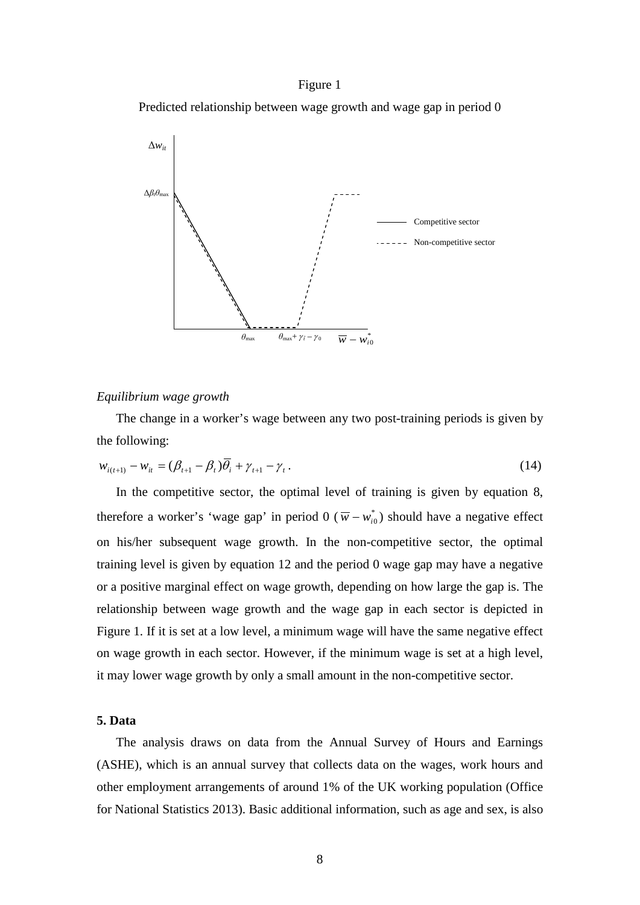#### Figure 1

Predicted relationship between wage growth and wage gap in period 0



#### *Equilibrium wage growth*

The change in a worker's wage between any two post-training periods is given by the following:

$$
w_{i(t+1)} - w_{it} = (\beta_{t+1} - \beta_t)\theta_i + \gamma_{t+1} - \gamma_t.
$$
\n(14)

In the competitive sector, the optimal level of training is given by equation 8, therefore a worker's 'wage gap' in period 0 ( $\overline{w} - w_{i0}^*$ ) should have a negative effect on his/her subsequent wage growth. In the non-competitive sector, the optimal training level is given by equation 12 and the period 0 wage gap may have a negative or a positive marginal effect on wage growth, depending on how large the gap is. The relationship between wage growth and the wage gap in each sector is depicted in Figure 1. If it is set at a low level, a minimum wage will have the same negative effect on wage growth in each sector. However, if the minimum wage is set at a high level, it may lower wage growth by only a small amount in the non-competitive sector.

#### **5. Data**

The analysis draws on data from the Annual Survey of Hours and Earnings (ASHE), which is an annual survey that collects data on the wages, work hours and other employment arrangements of around 1% of the UK working population (Office for National Statistics 2013). Basic additional information, such as age and sex, is also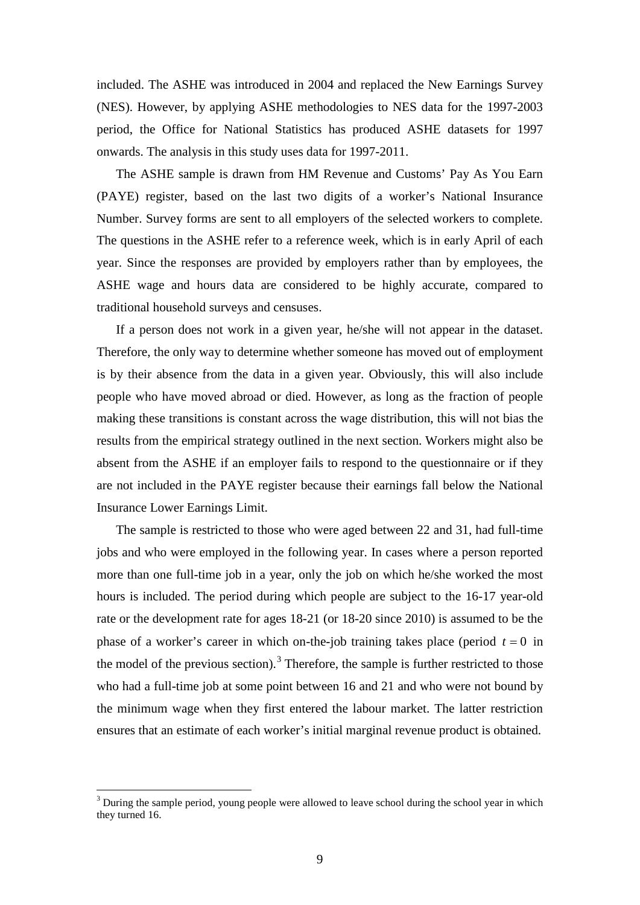included. The ASHE was introduced in 2004 and replaced the New Earnings Survey (NES). However, by applying ASHE methodologies to NES data for the 1997-2003 period, the Office for National Statistics has produced ASHE datasets for 1997 onwards. The analysis in this study uses data for 1997-2011.

The ASHE sample is drawn from HM Revenue and Customs' Pay As You Earn (PAYE) register, based on the last two digits of a worker's National Insurance Number. Survey forms are sent to all employers of the selected workers to complete. The questions in the ASHE refer to a reference week, which is in early April of each year. Since the responses are provided by employers rather than by employees, the ASHE wage and hours data are considered to be highly accurate, compared to traditional household surveys and censuses.

If a person does not work in a given year, he/she will not appear in the dataset. Therefore, the only way to determine whether someone has moved out of employment is by their absence from the data in a given year. Obviously, this will also include people who have moved abroad or died. However, as long as the fraction of people making these transitions is constant across the wage distribution, this will not bias the results from the empirical strategy outlined in the next section. Workers might also be absent from the ASHE if an employer fails to respond to the questionnaire or if they are not included in the PAYE register because their earnings fall below the National Insurance Lower Earnings Limit.

The sample is restricted to those who were aged between 22 and 31, had full-time jobs and who were employed in the following year. In cases where a person reported more than one full-time job in a year, only the job on which he/she worked the most hours is included. The period during which people are subject to the 16-17 year-old rate or the development rate for ages 18-21 (or 18-20 since 2010) is assumed to be the phase of a worker's career in which on-the-job training takes place (period  $t = 0$  in the model of the previous section).<sup>[3](#page-8-0)</sup> Therefore, the sample is further restricted to those who had a full-time job at some point between 16 and 21 and who were not bound by the minimum wage when they first entered the labour market. The latter restriction ensures that an estimate of each worker's initial marginal revenue product is obtained.

<span id="page-11-0"></span> $3$  During the sample period, young people were allowed to leave school during the school year in which they turned 16.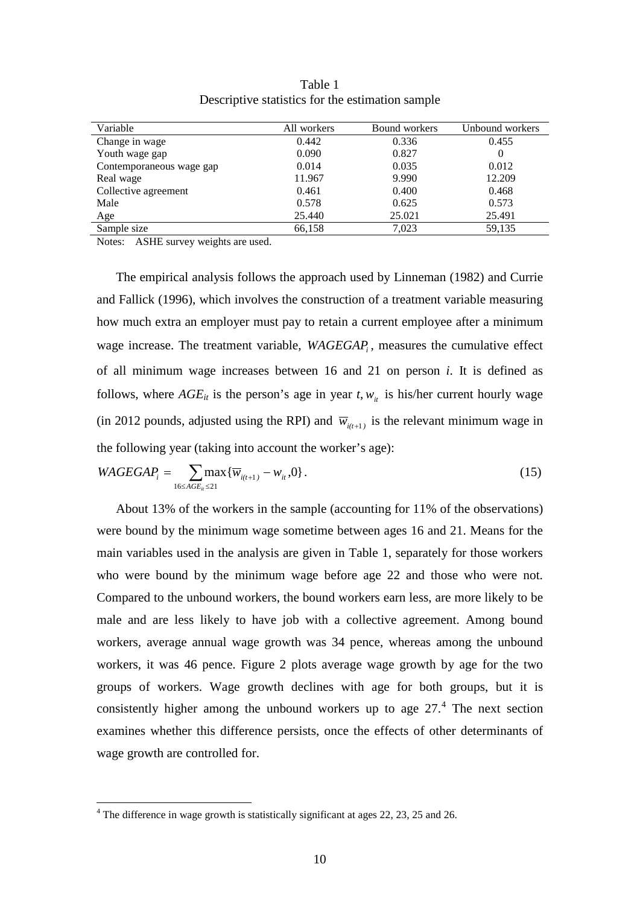| Variable                 | All workers | Bound workers | Unbound workers |
|--------------------------|-------------|---------------|-----------------|
| Change in wage           | 0.442       | 0.336         | 0.455           |
| Youth wage gap           | 0.090       | 0.827         |                 |
| Contemporaneous wage gap | 0.014       | 0.035         | 0.012           |
| Real wage                | 11.967      | 9.990         | 12.209          |
| Collective agreement     | 0.461       | 0.400         | 0.468           |
| Male                     | 0.578       | 0.625         | 0.573           |
| Age                      | 25.440      | 25.021        | 25.491          |
| Sample size              | 66,158      | 7.023         | 59,135          |

Table 1 Descriptive statistics for the estimation sample

Notes: ASHE survey weights are used.

The empirical analysis follows the approach used by Linneman (1982) and Currie and Fallick (1996), which involves the construction of a treatment variable measuring how much extra an employer must pay to retain a current employee after a minimum wage increase. The treatment variable, *WAGEGAP<sub>i</sub>*, measures the cumulative effect of all minimum wage increases between 16 and 21 on person *i*. It is defined as follows, where  $AGE_{it}$  is the person's age in year  $t, w_{it}$  is his/her current hourly wage (in 2012 pounds, adjusted using the RPI) and  $\overline{w}_{i(t+1)}$  is the relevant minimum wage in the following year (taking into account the worker's age):

$$
WAGEGAP_i = \sum_{16 \le AGE_{ii} \le 21} \max \{ \overline{w}_{i(t+1)} - w_{it}, 0 \}.
$$
 (15)

About 13% of the workers in the sample (accounting for 11% of the observations) were bound by the minimum wage sometime between ages 16 and 21. Means for the main variables used in the analysis are given in Table 1, separately for those workers who were bound by the minimum wage before age 22 and those who were not. Compared to the unbound workers, the bound workers earn less, are more likely to be male and are less likely to have job with a collective agreement. Among bound workers, average annual wage growth was 34 pence, whereas among the unbound workers, it was 46 pence. Figure 2 plots average wage growth by age for the two groups of workers. Wage growth declines with age for both groups, but it is consistently higher among the unbound workers up to age  $27<sup>4</sup>$  $27<sup>4</sup>$  $27<sup>4</sup>$ . The next section examines whether this difference persists, once the effects of other determinants of wage growth are controlled for.

<span id="page-12-0"></span><sup>&</sup>lt;sup>4</sup> The difference in wage growth is statistically significant at ages 22, 23, 25 and 26.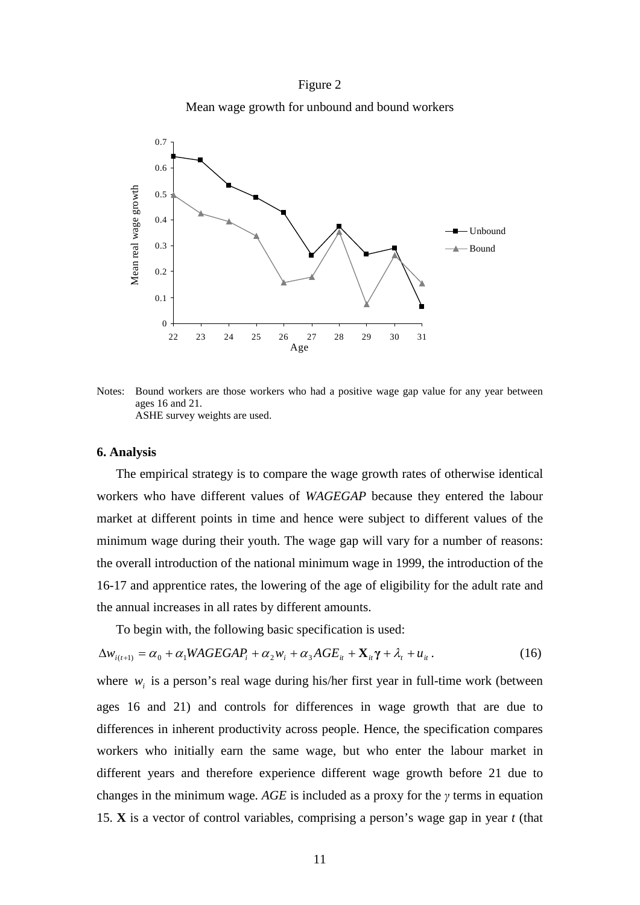Figure 2

Mean wage growth for unbound and bound workers



Notes: Bound workers are those workers who had a positive wage gap value for any year between ages 16 and 21. ASHE survey weights are used.

#### **6. Analysis**

The empirical strategy is to compare the wage growth rates of otherwise identical workers who have different values of *WAGEGAP* because they entered the labour market at different points in time and hence were subject to different values of the minimum wage during their youth. The wage gap will vary for a number of reasons: the overall introduction of the national minimum wage in 1999, the introduction of the 16-17 and apprentice rates, the lowering of the age of eligibility for the adult rate and the annual increases in all rates by different amounts.

To begin with, the following basic specification is used:

$$
\Delta w_{i(t+1)} = \alpha_0 + \alpha_1 WAGEGAP_i + \alpha_2 w_i + \alpha_3 AGE_{it} + \mathbf{X}_{it} + \lambda_t + u_{it}. \tag{16}
$$

where  $w_i$  is a person's real wage during his/her first year in full-time work (between ages 16 and 21) and controls for differences in wage growth that are due to differences in inherent productivity across people. Hence, the specification compares workers who initially earn the same wage, but who enter the labour market in different years and therefore experience different wage growth before 21 due to changes in the minimum wage. *AGE* is included as a proxy for the *γ* terms in equation 15. **X** is a vector of control variables, comprising a person's wage gap in year *t* (that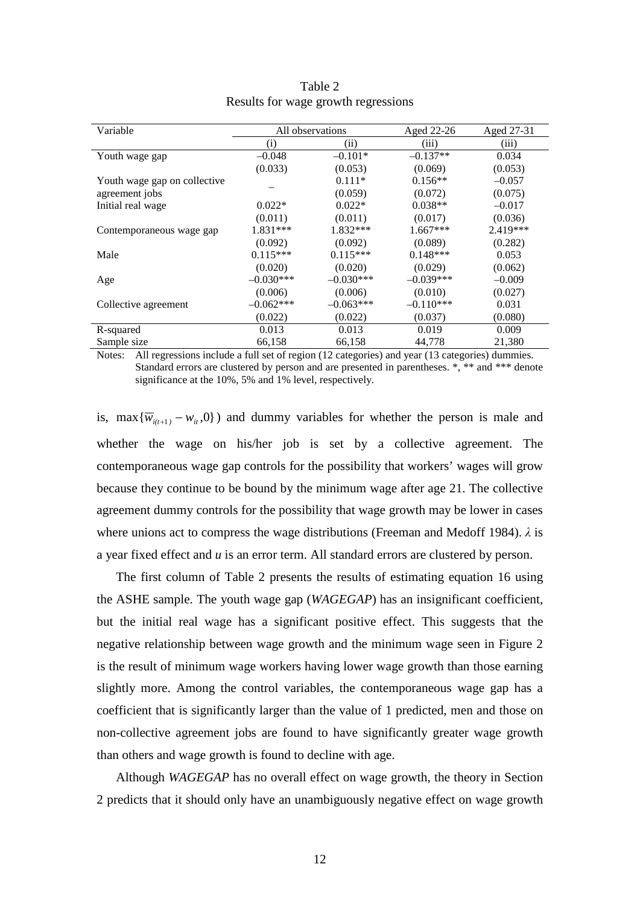| Variable                     | All observations  |             | Aged 22-26  | Aged 27-31 |
|------------------------------|-------------------|-------------|-------------|------------|
|                              | $\left( 1\right)$ | (i)         | (iii)       | (iii)      |
| Youth wage gap               | $-0.048$          | $-0.101*$   | $-0.137**$  | 0.034      |
|                              | (0.033)           | (0.053)     | (0.069)     | (0.053)    |
| Youth wage gap on collective |                   | $0.111*$    | $0.156**$   | $-0.057$   |
| agreement jobs               |                   | (0.059)     | (0.072)     | (0.075)    |
| Initial real wage            | $0.022*$          | $0.022*$    | $0.038**$   | $-0.017$   |
|                              | (0.011)           | (0.011)     | (0.017)     | (0.036)    |
| Contemporaneous wage gap     | 1.831***          | $1.832***$  | $1.667***$  | $2.419***$ |
|                              | (0.092)           | (0.092)     | (0.089)     | (0.282)    |
| Male                         | $0.115***$        | $0.115***$  | $0.148***$  | 0.053      |
|                              | (0.020)           | (0.020)     | (0.029)     | (0.062)    |
| Age                          | $-0.030***$       | $-0.030***$ | $-0.039***$ | $-0.009$   |
|                              | (0.006)           | (0.006)     | (0.010)     | (0.027)    |
| Collective agreement         | $-0.062***$       | $-0.063***$ | $-0.110***$ | 0.031      |
|                              | (0.022)           | (0.022)     | (0.037)     | (0.080)    |
| R-squared                    | 0.013             | 0.013       | 0.019       | 0.009      |
| Sample size                  | 66,158            | 66,158      | 44,778      | 21,380     |

| Table 2                             |  |  |  |  |
|-------------------------------------|--|--|--|--|
| Results for wage growth regressions |  |  |  |  |

Notes: All regressions include a full set of region (12 categories) and year (13 categories) dummies. Standard errors are clustered by person and are presented in parentheses. \*, \*\* and \*\*\* denote significance at the 10%, 5% and 1% level, respectively.

is, max ${\overline{w}_{i(t+1)} - w_{i(t)}$ , 0}) and dummy variables for whether the person is male and whether the wage on his/her job is set by a collective agreement. The contemporaneous wage gap controls for the possibility that workers' wages will grow because they continue to be bound by the minimum wage after age 21. The collective agreement dummy controls for the possibility that wage growth may be lower in cases where unions act to compress the wage distributions (Freeman and Medoff 1984). *λ* is a year fixed effect and *u* is an error term. All standard errors are clustered by person.

The first column of Table 2 presents the results of estimating equation 16 using the ASHE sample. The youth wage gap (*WAGEGAP*) has an insignificant coefficient, but the initial real wage has a significant positive effect. This suggests that the negative relationship between wage growth and the minimum wage seen in Figure 2 is the result of minimum wage workers having lower wage growth than those earning slightly more. Among the control variables, the contemporaneous wage gap has a coefficient that is significantly larger than the value of 1 predicted, men and those on non-collective agreement jobs are found to have significantly greater wage growth than others and wage growth is found to decline with age.

Although *WAGEGAP* has no overall effect on wage growth, the theory in Section 2 predicts that it should only have an unambiguously negative effect on wage growth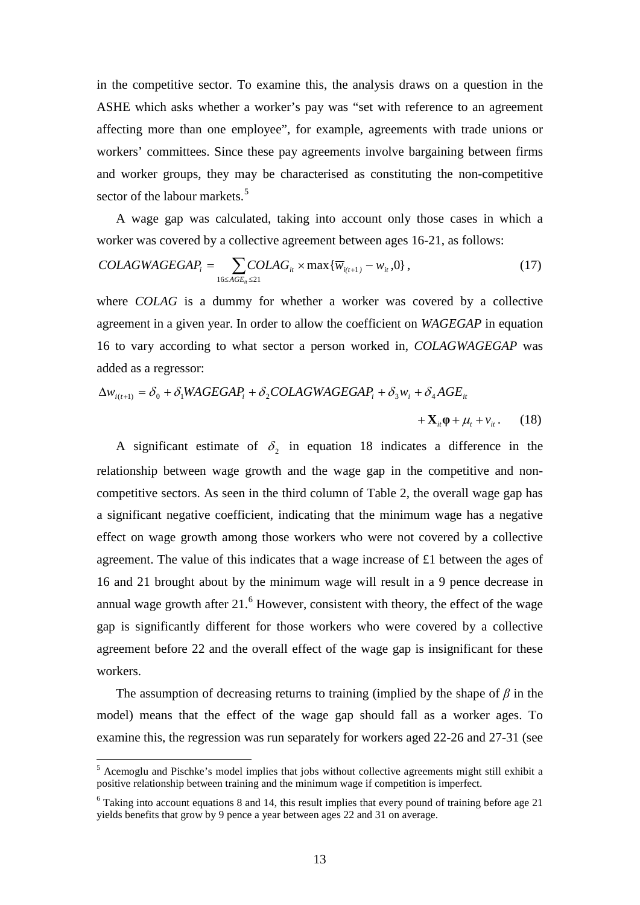in the competitive sector. To examine this, the analysis draws on a question in the ASHE which asks whether a worker's pay was "set with reference to an agreement affecting more than one employee", for example, agreements with trade unions or workers' committees. Since these pay agreements involve bargaining between firms and worker groups, they may be characterised as constituting the non-competitive sector of the labour markets.<sup>[5](#page-12-0)</sup>

A wage gap was calculated, taking into account only those cases in which a worker was covered by a collective agreement between ages 16-21, as follows:

$$
COLAGWAGEGAP_i = \sum_{16 \le AGE_u \le 21} COLAG_{it} \times \max{\{\overline{w}_{i(t+1)} - w_{it}, 0\}},
$$
\n(17)

where *COLAG* is a dummy for whether a worker was covered by a collective agreement in a given year. In order to allow the coefficient on *WAGEGAP* in equation 16 to vary according to what sector a person worked in, *COLAGWAGEGAP* was added as a regressor:

$$
\Delta w_{i(t+1)} = \delta_0 + \delta_1 WAGEGAP_i + \delta_2 COLAGWAGEGAP_i + \delta_3 w_i + \delta_4 AGE_{it}
$$
  
+ $\mathbf{X}_{it} \mathbf{\varphi} + \mu_t + v_{it}$ . (18)

A significant estimate of  $\delta$ , in equation 18 indicates a difference in the relationship between wage growth and the wage gap in the competitive and noncompetitive sectors. As seen in the third column of Table 2, the overall wage gap has a significant negative coefficient, indicating that the minimum wage has a negative effect on wage growth among those workers who were not covered by a collective agreement. The value of this indicates that a wage increase of £1 between the ages of 16 and 21 brought about by the minimum wage will result in a 9 pence decrease in annual wage growth after  $21<sup>6</sup>$  $21<sup>6</sup>$  $21<sup>6</sup>$  However, consistent with theory, the effect of the wage gap is significantly different for those workers who were covered by a collective agreement before 22 and the overall effect of the wage gap is insignificant for these workers.

The assumption of decreasing returns to training (implied by the shape of *β* in the model) means that the effect of the wage gap should fall as a worker ages. To examine this, the regression was run separately for workers aged 22-26 and 27-31 (see

<span id="page-15-1"></span><sup>&</sup>lt;sup>5</sup> Acemoglu and Pischke's model implies that jobs without collective agreements might still exhibit a positive relationship between training and the minimum wage if competition is imperfect.

<span id="page-15-0"></span> $6$  Taking into account equations 8 and 14, this result implies that every pound of training before age 21 yields benefits that grow by 9 pence a year between ages 22 and 31 on average.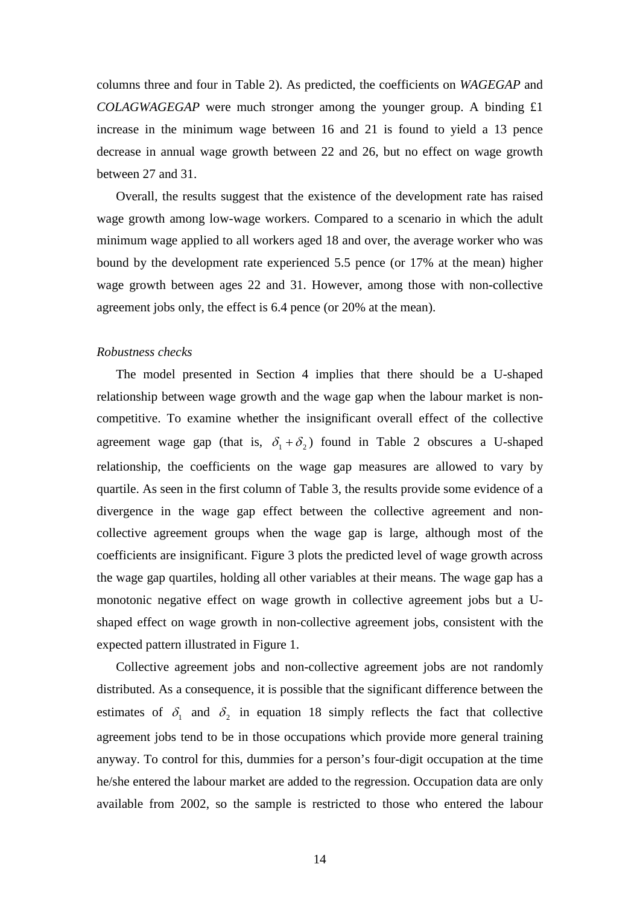columns three and four in Table 2). As predicted, the coefficients on *WAGEGAP* and *COLAGWAGEGAP* were much stronger among the younger group. A binding £1 increase in the minimum wage between 16 and 21 is found to yield a 13 pence decrease in annual wage growth between 22 and 26, but no effect on wage growth between 27 and 31.

Overall, the results suggest that the existence of the development rate has raised wage growth among low-wage workers. Compared to a scenario in which the adult minimum wage applied to all workers aged 18 and over, the average worker who was bound by the development rate experienced 5.5 pence (or 17% at the mean) higher wage growth between ages 22 and 31. However, among those with non-collective agreement jobs only, the effect is 6.4 pence (or 20% at the mean).

#### *Robustness checks*

The model presented in Section 4 implies that there should be a U-shaped relationship between wage growth and the wage gap when the labour market is noncompetitive. To examine whether the insignificant overall effect of the collective agreement wage gap (that is,  $\delta_1 + \delta_2$ ) found in Table 2 obscures a U-shaped relationship, the coefficients on the wage gap measures are allowed to vary by quartile. As seen in the first column of Table 3, the results provide some evidence of a divergence in the wage gap effect between the collective agreement and noncollective agreement groups when the wage gap is large, although most of the coefficients are insignificant. Figure 3 plots the predicted level of wage growth across the wage gap quartiles, holding all other variables at their means. The wage gap has a monotonic negative effect on wage growth in collective agreement jobs but a Ushaped effect on wage growth in non-collective agreement jobs, consistent with the expected pattern illustrated in Figure 1.

Collective agreement jobs and non-collective agreement jobs are not randomly distributed. As a consequence, it is possible that the significant difference between the estimates of  $\delta_1$  and  $\delta_2$  in equation 18 simply reflects the fact that collective agreement jobs tend to be in those occupations which provide more general training anyway. To control for this, dummies for a person's four-digit occupation at the time he/she entered the labour market are added to the regression. Occupation data are only available from 2002, so the sample is restricted to those who entered the labour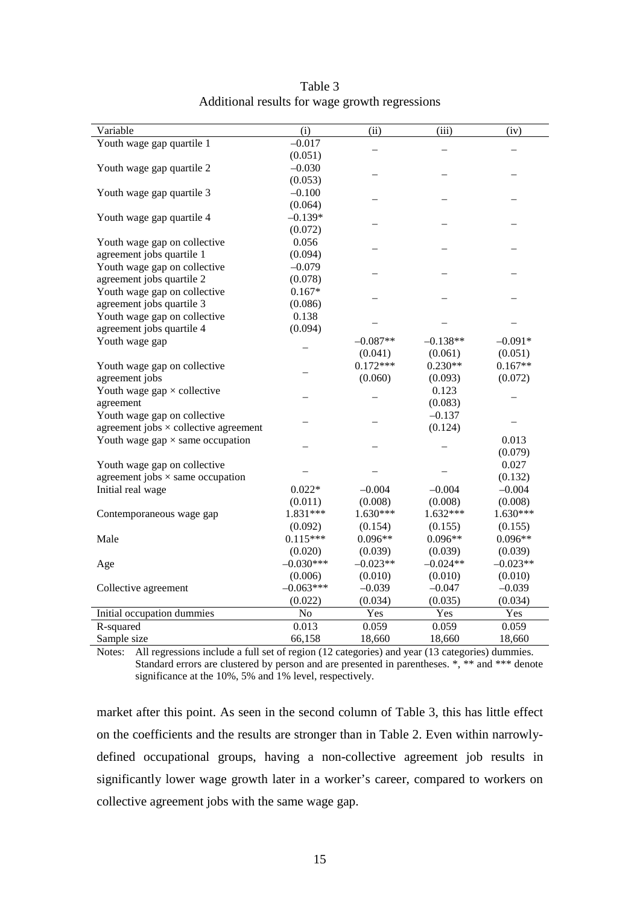| Variable                                         | (i)         | (ii)       | (iii)      | (iv)       |
|--------------------------------------------------|-------------|------------|------------|------------|
| Youth wage gap quartile 1                        | $-0.017$    |            |            |            |
|                                                  | (0.051)     |            |            |            |
| Youth wage gap quartile 2                        | $-0.030$    |            |            |            |
|                                                  | (0.053)     |            |            |            |
| Youth wage gap quartile 3                        | $-0.100$    |            |            |            |
|                                                  | (0.064)     |            |            |            |
| Youth wage gap quartile 4                        | $-0.139*$   |            |            |            |
|                                                  | (0.072)     |            |            |            |
| Youth wage gap on collective                     | 0.056       |            |            |            |
| agreement jobs quartile 1                        | (0.094)     |            |            |            |
| Youth wage gap on collective                     | $-0.079$    |            |            |            |
| agreement jobs quartile 2                        | (0.078)     |            |            |            |
| Youth wage gap on collective                     | $0.167*$    |            |            |            |
| agreement jobs quartile 3                        | (0.086)     |            |            |            |
| Youth wage gap on collective                     | 0.138       |            |            |            |
| agreement jobs quartile 4                        | (0.094)     |            |            |            |
| Youth wage gap                                   |             | $-0.087**$ | $-0.138**$ | $-0.091*$  |
|                                                  |             | (0.041)    | (0.061)    | (0.051)    |
| Youth wage gap on collective                     |             | $0.172***$ | $0.230**$  | $0.167**$  |
| agreement jobs                                   |             | (0.060)    | (0.093)    | (0.072)    |
| Youth wage $\text{gap} \times \text{collective}$ |             |            | 0.123      |            |
| agreement                                        |             |            | (0.083)    |            |
| Youth wage gap on collective                     |             |            | $-0.137$   |            |
| agreement jobs $\times$ collective agreement     |             |            | (0.124)    |            |
| Youth wage gap $\times$ same occupation          |             |            |            | 0.013      |
|                                                  |             |            |            | (0.079)    |
| Youth wage gap on collective                     |             |            |            | 0.027      |
| agreement jobs $\times$ same occupation          |             |            |            | (0.132)    |
| Initial real wage                                | $0.022*$    | $-0.004$   | $-0.004$   | $-0.004$   |
|                                                  | (0.011)     | (0.008)    | (0.008)    | (0.008)    |
| Contemporaneous wage gap                         | 1.831***    | 1.630***   | $1.632***$ | 1.630***   |
|                                                  | (0.092)     | (0.154)    | (0.155)    | (0.155)    |
| Male                                             | $0.115***$  | $0.096**$  | $0.096**$  | $0.096**$  |
|                                                  | (0.020)     | (0.039)    | (0.039)    | (0.039)    |
| Age                                              | $-0.030***$ | $-0.023**$ | $-0.024**$ | $-0.023**$ |
|                                                  | (0.006)     | (0.010)    | (0.010)    | (0.010)    |
| Collective agreement                             | $-0.063***$ | $-0.039$   | $-0.047$   | $-0.039$   |
|                                                  | (0.022)     | (0.034)    | (0.035)    | (0.034)    |
| Initial occupation dummies                       | No          | Yes        | Yes        | Yes        |
| R-squared                                        | 0.013       | 0.059      | 0.059      | 0.059      |
| Sample size                                      | 66,158      | 18,660     | 18,660     | 18,660     |

Table 3 Additional results for wage growth regressions

Notes: All regressions include a full set of region (12 categories) and year (13 categories) dummies. Standard errors are clustered by person and are presented in parentheses. \*, \*\* and \*\*\* denote significance at the 10%, 5% and 1% level, respectively.

market after this point. As seen in the second column of Table 3, this has little effect on the coefficients and the results are stronger than in Table 2. Even within narrowlydefined occupational groups, having a non-collective agreement job results in significantly lower wage growth later in a worker's career, compared to workers on collective agreement jobs with the same wage gap.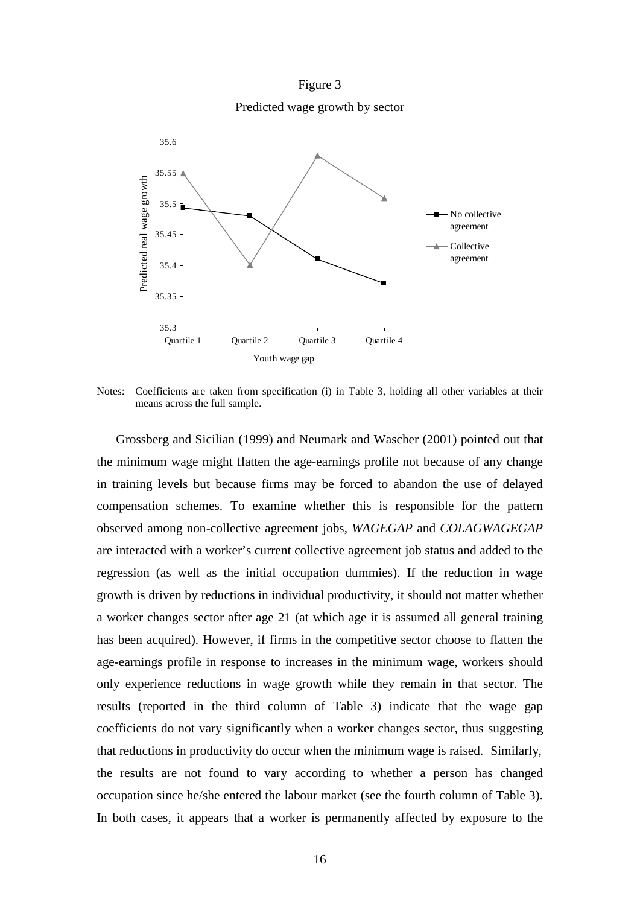Figure 3 Predicted wage growth by sector



Notes: Coefficients are taken from specification (i) in Table 3, holding all other variables at their means across the full sample.

Grossberg and Sicilian (1999) and Neumark and Wascher (2001) pointed out that the minimum wage might flatten the age-earnings profile not because of any change in training levels but because firms may be forced to abandon the use of delayed compensation schemes. To examine whether this is responsible for the pattern observed among non-collective agreement jobs, *WAGEGAP* and *COLAGWAGEGAP* are interacted with a worker's current collective agreement job status and added to the regression (as well as the initial occupation dummies). If the reduction in wage growth is driven by reductions in individual productivity, it should not matter whether a worker changes sector after age 21 (at which age it is assumed all general training has been acquired). However, if firms in the competitive sector choose to flatten the age-earnings profile in response to increases in the minimum wage, workers should only experience reductions in wage growth while they remain in that sector. The results (reported in the third column of Table 3) indicate that the wage gap coefficients do not vary significantly when a worker changes sector, thus suggesting that reductions in productivity do occur when the minimum wage is raised. Similarly, the results are not found to vary according to whether a person has changed occupation since he/she entered the labour market (see the fourth column of Table 3). In both cases, it appears that a worker is permanently affected by exposure to the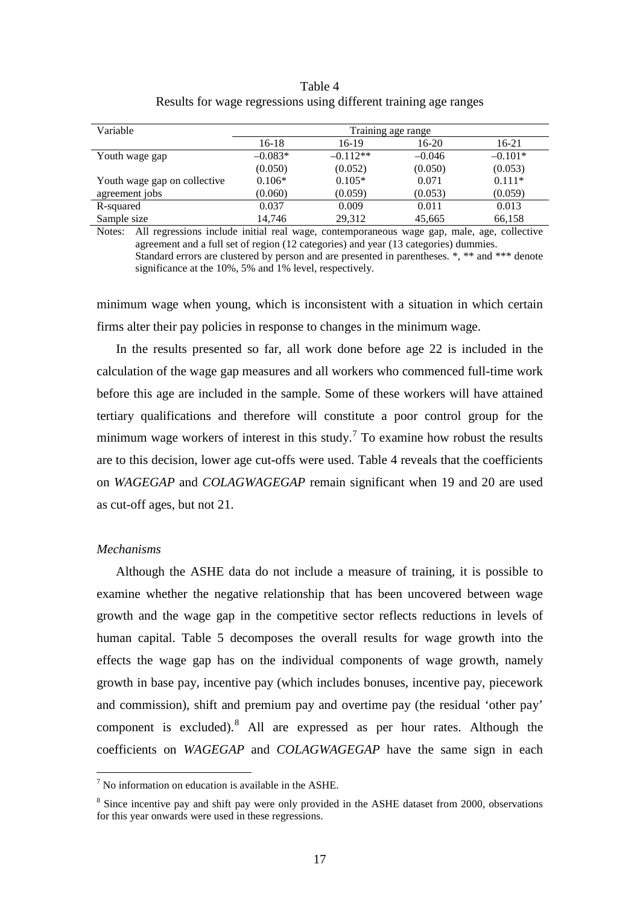|                                                                  | Table 4 |  |
|------------------------------------------------------------------|---------|--|
| Results for wage regressions using different training age ranges |         |  |

| Variable                     | Training age range |            |          |           |
|------------------------------|--------------------|------------|----------|-----------|
|                              | $16-18$            | 16-19      | $16-20$  | 16-21     |
| Youth wage gap               | $-0.083*$          | $-0.112**$ | $-0.046$ | $-0.101*$ |
|                              | (0.050)            | (0.052)    | (0.050)  | (0.053)   |
| Youth wage gap on collective | $0.106*$           | $0.105*$   | 0.071    | $0.111*$  |
| agreement jobs               | (0.060)            | (0.059)    | (0.053)  | (0.059)   |
| R-squared                    | 0.037              | 0.009      | 0.011    | 0.013     |
| Sample size                  | 14,746             | 29,312     | 45,665   | 66,158    |

Notes: All regressions include initial real wage, contemporaneous wage gap, male, age, collective agreement and a full set of region (12 categories) and year (13 categories) dummies. Standard errors are clustered by person and are presented in parentheses. \*, \*\* and \*\*\* denote significance at the 10%, 5% and 1% level, respectively.

minimum wage when young, which is inconsistent with a situation in which certain firms alter their pay policies in response to changes in the minimum wage.

In the results presented so far, all work done before age 22 is included in the calculation of the wage gap measures and all workers who commenced full-time work before this age are included in the sample. Some of these workers will have attained tertiary qualifications and therefore will constitute a poor control group for the minimum wage workers of interest in this study.<sup>[7](#page-15-1)</sup> To examine how robust the results are to this decision, lower age cut-offs were used. Table 4 reveals that the coefficients on *WAGEGAP* and *COLAGWAGEGAP* remain significant when 19 and 20 are used as cut-off ages, but not 21.

#### *Mechanisms*

Although the ASHE data do not include a measure of training, it is possible to examine whether the negative relationship that has been uncovered between wage growth and the wage gap in the competitive sector reflects reductions in levels of human capital. Table 5 decomposes the overall results for wage growth into the effects the wage gap has on the individual components of wage growth, namely growth in base pay, incentive pay (which includes bonuses, incentive pay, piecework and commission), shift and premium pay and overtime pay (the residual 'other pay' component is excluded).[8](#page-19-0) All are expressed as per hour rates. Although the coefficients on *WAGEGAP* and *COLAGWAGEGAP* have the same sign in each

 $<sup>7</sup>$  No information on education is available in the ASHE.</sup>

<span id="page-19-1"></span><span id="page-19-0"></span><sup>&</sup>lt;sup>8</sup> Since incentive pay and shift pay were only provided in the ASHE dataset from 2000, observations for this year onwards were used in these regressions.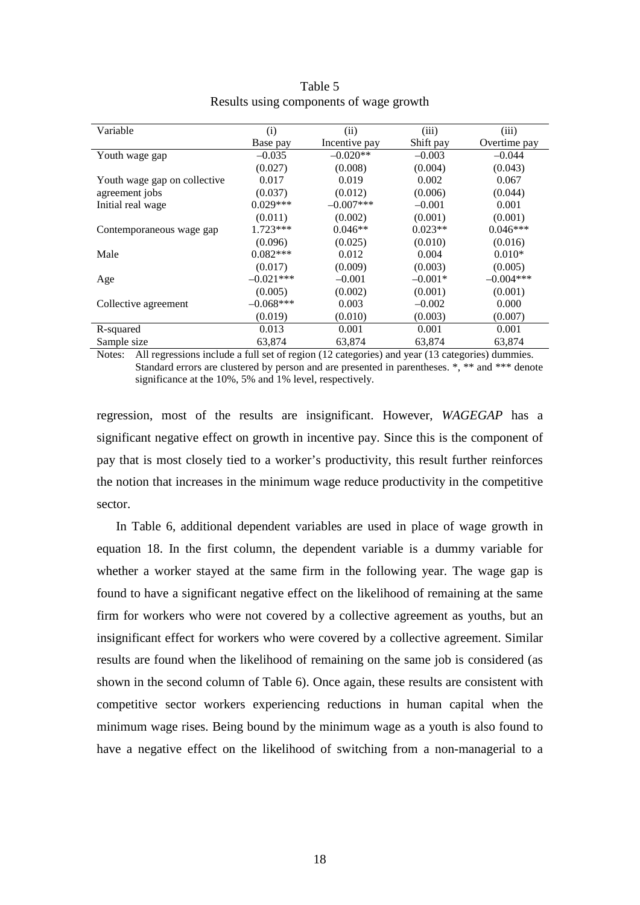| Variable                     | (i)          | (ii)          | (iii)     | (iii)        |
|------------------------------|--------------|---------------|-----------|--------------|
|                              | Base pay     | Incentive pay | Shift pay | Overtime pay |
| Youth wage gap               | $-0.035$     | $-0.020**$    | $-0.003$  | $-0.044$     |
|                              | (0.027)      | (0.008)       | (0.004)   | (0.043)      |
| Youth wage gap on collective | 0.017        | 0.019         | 0.002     | 0.067        |
| agreement jobs               | (0.037)      | (0.012)       | (0.006)   | (0.044)      |
| Initial real wage            | $0.029***$   | $-0.007$ ***  | $-0.001$  | 0.001        |
|                              | (0.011)      | (0.002)       | (0.001)   | (0.001)      |
| Contemporaneous wage gap     | $1.723***$   | $0.046**$     | $0.023**$ | $0.046***$   |
|                              | (0.096)      | (0.025)       | (0.010)   | (0.016)      |
| Male                         | $0.082***$   | 0.012         | 0.004     | $0.010*$     |
|                              | (0.017)      | (0.009)       | (0.003)   | (0.005)      |
| Age                          | $-0.021$ *** | $-0.001$      | $-0.001*$ | $-0.004***$  |
|                              | (0.005)      | (0.002)       | (0.001)   | (0.001)      |
| Collective agreement         | $-0.068***$  | 0.003         | $-0.002$  | 0.000        |
|                              | (0.019)      | (0.010)       | (0.003)   | (0.007)      |
| R-squared                    | 0.013        | 0.001         | 0.001     | 0.001        |
| Sample size                  | 63,874       | 63,874        | 63,874    | 63,874       |

| Table 5                                 |  |
|-----------------------------------------|--|
| Results using components of wage growth |  |

Notes: All regressions include a full set of region (12 categories) and year (13 categories) dummies. Standard errors are clustered by person and are presented in parentheses. \*, \*\* and \*\*\* denote significance at the 10%, 5% and 1% level, respectively.

regression, most of the results are insignificant. However, *WAGEGAP* has a significant negative effect on growth in incentive pay. Since this is the component of pay that is most closely tied to a worker's productivity, this result further reinforces the notion that increases in the minimum wage reduce productivity in the competitive sector.

In Table 6, additional dependent variables are used in place of wage growth in equation 18. In the first column, the dependent variable is a dummy variable for whether a worker stayed at the same firm in the following year. The wage gap is found to have a significant negative effect on the likelihood of remaining at the same firm for workers who were not covered by a collective agreement as youths, but an insignificant effect for workers who were covered by a collective agreement. Similar results are found when the likelihood of remaining on the same job is considered (as shown in the second column of Table 6). Once again, these results are consistent with competitive sector workers experiencing reductions in human capital when the minimum wage rises. Being bound by the minimum wage as a youth is also found to have a negative effect on the likelihood of switching from a non-managerial to a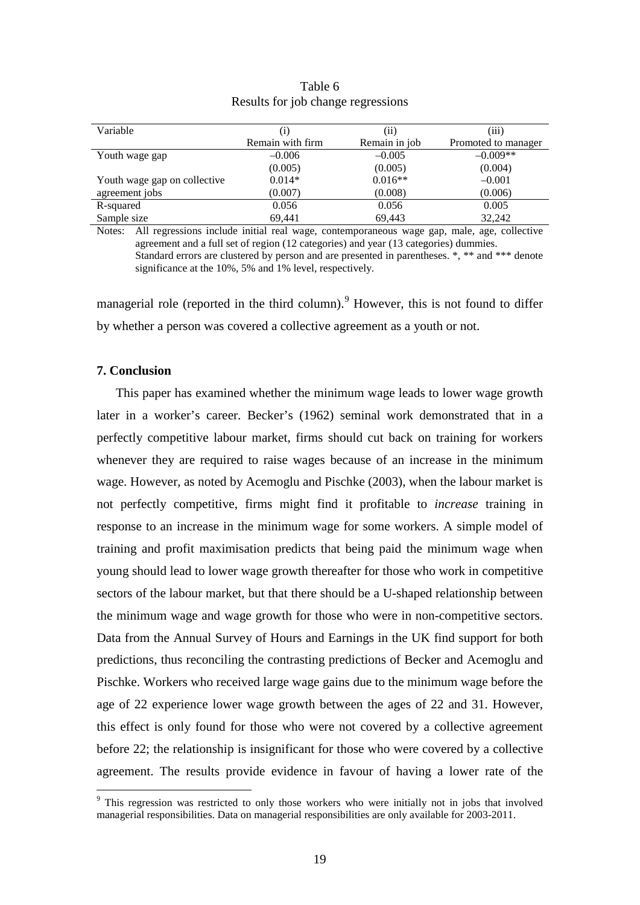| Variable                     |                  |               |                     |
|------------------------------|------------------|---------------|---------------------|
|                              |                  | (ii)          | (iii)               |
|                              | Remain with firm | Remain in job | Promoted to manager |
| Youth wage gap               | $-0.006$         | $-0.005$      | $-0.009**$          |
|                              | (0.005)          | (0.005)       | (0.004)             |
| Youth wage gap on collective | $0.014*$         | $0.016**$     | $-0.001$            |
| agreement jobs               | (0.007)          | (0.008)       | (0.006)             |
| R-squared                    | 0.056            | 0.056         | 0.005               |
| Sample size                  | 69,441           | 69,443        | 32,242              |

#### Table 6 Results for job change regressions

Notes: All regressions include initial real wage, contemporaneous wage gap, male, age, collective agreement and a full set of region (12 categories) and year (13 categories) dummies. Standard errors are clustered by person and are presented in parentheses. \*, \*\* and \*\*\* denote significance at the 10%, 5% and 1% level, respectively.

managerial role (reported in the third column).<sup>[9](#page-19-1)</sup> However, this is not found to differ by whether a person was covered a collective agreement as a youth or not.

#### **7. Conclusion**

This paper has examined whether the minimum wage leads to lower wage growth later in a worker's career. Becker's (1962) seminal work demonstrated that in a perfectly competitive labour market, firms should cut back on training for workers whenever they are required to raise wages because of an increase in the minimum wage. However, as noted by Acemoglu and Pischke (2003), when the labour market is not perfectly competitive, firms might find it profitable to *increase* training in response to an increase in the minimum wage for some workers. A simple model of training and profit maximisation predicts that being paid the minimum wage when young should lead to lower wage growth thereafter for those who work in competitive sectors of the labour market, but that there should be a U-shaped relationship between the minimum wage and wage growth for those who were in non-competitive sectors. Data from the Annual Survey of Hours and Earnings in the UK find support for both predictions, thus reconciling the contrasting predictions of Becker and Acemoglu and Pischke. Workers who received large wage gains due to the minimum wage before the age of 22 experience lower wage growth between the ages of 22 and 31. However, this effect is only found for those who were not covered by a collective agreement before 22; the relationship is insignificant for those who were covered by a collective agreement. The results provide evidence in favour of having a lower rate of the

<sup>&</sup>lt;sup>9</sup> This regression was restricted to only those workers who were initially not in jobs that involved managerial responsibilities. Data on managerial responsibilities are only available for 2003-2011.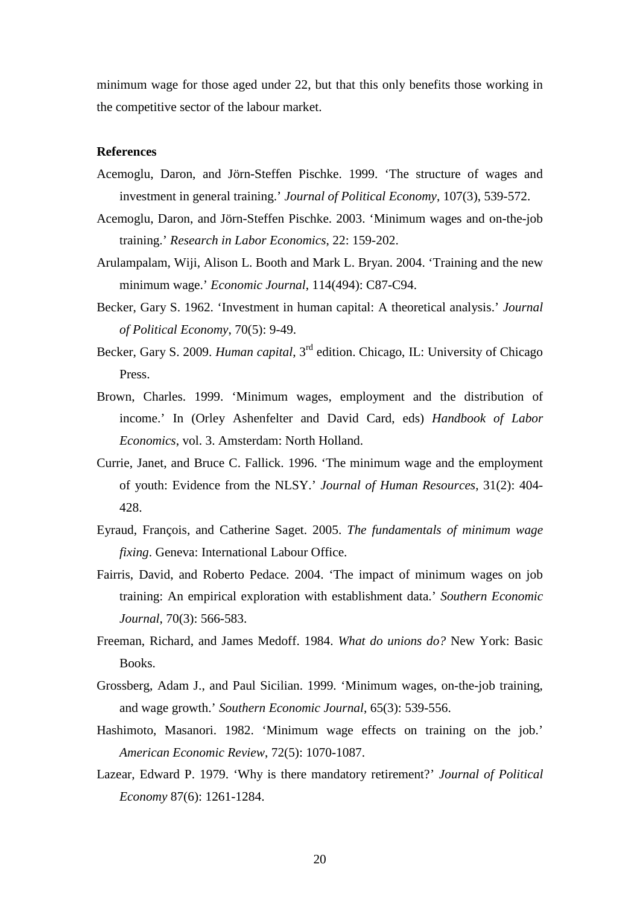minimum wage for those aged under 22, but that this only benefits those working in the competitive sector of the labour market.

#### **References**

- Acemoglu, Daron, and Jörn-Steffen Pischke. 1999. 'The structure of wages and investment in general training.' *Journal of Political Economy*, 107(3), 539-572.
- Acemoglu, Daron, and Jörn-Steffen Pischke. 2003. 'Minimum wages and on-the-job training.' *Research in Labor Economics*, 22: 159-202.
- Arulampalam, Wiji, Alison L. Booth and Mark L. Bryan. 2004. 'Training and the new minimum wage.' *Economic Journal*, 114(494): C87-C94.
- Becker, Gary S. 1962. 'Investment in human capital: A theoretical analysis.' *Journal of Political Economy*, 70(5): 9-49.
- Becker, Gary S. 2009. *Human capital*, 3<sup>rd</sup> edition. Chicago, IL: University of Chicago Press.
- Brown, Charles. 1999. 'Minimum wages, employment and the distribution of income.' In (Orley Ashenfelter and David Card, eds) *Handbook of Labor Economics*, vol. 3. Amsterdam: North Holland.
- Currie, Janet, and Bruce C. Fallick. 1996. 'The minimum wage and the employment of youth: Evidence from the NLSY.' *Journal of Human Resources*, 31(2): 404- 428.
- Eyraud, François, and Catherine Saget. 2005. *The fundamentals of minimum wage fixing*. Geneva: International Labour Office.
- Fairris, David, and Roberto Pedace. 2004. 'The impact of minimum wages on job training: An empirical exploration with establishment data.' *Southern Economic Journal*, 70(3): 566-583.
- Freeman, Richard, and James Medoff. 1984. *What do unions do?* New York: Basic Books.
- Grossberg, Adam J., and Paul Sicilian. 1999. 'Minimum wages, on-the-job training, and wage growth.' *Southern Economic Journal*, 65(3): 539-556.
- Hashimoto, Masanori. 1982. 'Minimum wage effects on training on the job.' *American Economic Review*, 72(5): 1070-1087.
- Lazear, Edward P. 1979. 'Why is there mandatory retirement?' *Journal of Political Economy* 87(6): 1261-1284.